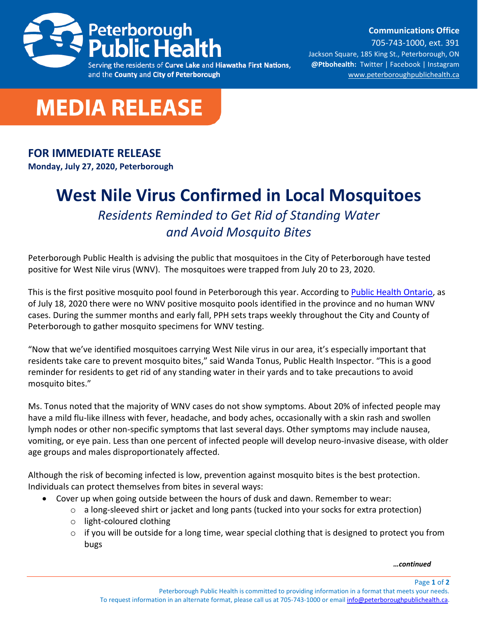

**Communications Office**

and the County and City of Peterborough

705-743-1000, ext. 391 Jackson Square, 185 King St., Peterborough, ON **@Ptbohealth:** [Twitter](http://www.twitter.com/PCCHU) | [Facebook](http://www.facebook.ca/PCCHU1) | Instagram [www.peterboroughpublichealth.ca](http://www.peterboroughpublichealth.ca/)



## **FOR IMMEDIATE RELEASE**

**Monday, July 27, 2020, Peterborough**

## **West Nile Virus Confirmed in Local Mosquitoes**

*Residents Reminded to Get Rid of Standing Water and Avoid Mosquito Bites*

Peterborough Public Health is advising the public that mosquitoes in the City of Peterborough have tested positive for West Nile virus (WNV). The mosquitoes were trapped from July 20 to 23, 2020.

This is the first positive mosquito pool found in Peterborough this year. According t[o Public Health Ontario,](https://www.publichealthontario.ca/en/data-and-analysis/infectious-disease/west-nile-virus#:~:text=Visit%20the%20Public%20Health%20Agency,zoonotic%20and%20vector%2Dborne%20diseases.) as of July 18, 2020 there were no WNV positive mosquito pools identified in the province and no human WNV cases. During the summer months and early fall, PPH sets traps weekly throughout the City and County of Peterborough to gather mosquito specimens for WNV testing.

"Now that we've identified mosquitoes carrying West Nile virus in our area, it's especially important that residents take care to prevent mosquito bites," said Wanda Tonus, Public Health Inspector. "This is a good reminder for residents to get rid of any standing water in their yards and to take precautions to avoid mosquito bites."

Ms. Tonus noted that the majority of WNV cases do not show symptoms. About 20% of infected people may have a mild flu-like illness with fever, headache, and body aches, occasionally with a skin rash and swollen lymph nodes or other non-specific symptoms that last several days. Other symptoms may include nausea, vomiting, or eye pain. Less than one percent of infected people will develop neuro-invasive disease, with older age groups and males disproportionately affected.

Although the risk of becoming infected is low, prevention against mosquito bites is the best protection. Individuals can protect themselves from bites in several ways:

- Cover up when going outside between the hours of dusk and dawn. Remember to wear:
	- $\circ$  a long-sleeved shirt or jacket and long pants (tucked into your socks for extra protection)
	- o light-coloured clothing
	- $\circ$  if you will be outside for a long time, wear special clothing that is designed to protect you from bugs

*…continued*